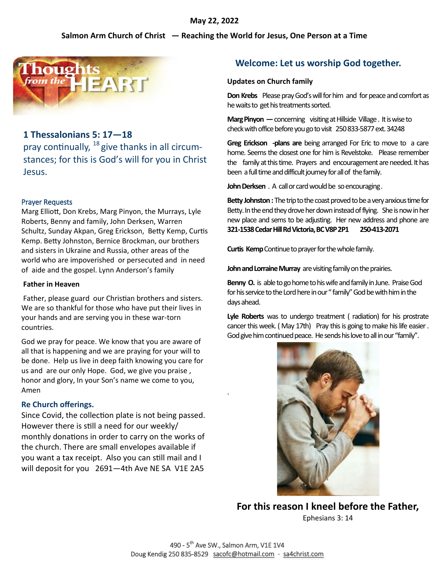### **May 22, 2022**

### **Salmon Arm Church of Christ — Reaching the World for Jesus, One Person at a Time**



## **1 Thessalonians 5: 17—18**

pray continually, <sup>18</sup> give thanks in all circumstances; for this is God's will for you in Christ Jesus.

#### Prayer Requests

Marg Elliott, Don Krebs, Marg Pinyon, the Murrays, Lyle Roberts, Benny and family, John Derksen, Warren Schultz, Sunday Akpan, Greg Erickson, Betty Kemp, Curtis Kemp. Betty Johnston, Bernice Brockman, our brothers and sisters in Ukraine and Russia, other areas of the world who are impoverished or persecuted and in need of aide and the gospel. Lynn Anderson's family

#### **Father in Heaven**

Father, please guard our Christian brothers and sisters. We are so thankful for those who have put their lives in your hands and are serving you in these war-torn countries.

God we pray for peace. We know that you are aware of all that is happening and we are praying for your will to be done. Help us live in deep faith knowing you care for us and are our only Hope. God, we give you praise , honor and glory, In your Son's name we come to you, Amen

### **Re Church offerings.**

Since Covid, the collection plate is not being passed. However there is still a need for our weekly/ monthly donations in order to carry on the works of the church. There are small envelopes available if you want a tax receipt. Also you can still mail and I will deposit for you 2691—4th Ave NE SA V1E 2A5

# **Welcome: Let us worship God together.**

#### **Updates on Church family**

**Don Krebs** Please pray God's will for him and for peace and comfort as he waits to get his treatments sorted.

**Marg Pinyon** — concerning visiting at Hillside Village . It is wise to check with office before you go to visit 250 833-5877 ext. 34248

**Greg Erickson -plans are** being arranged For Eric to move to a care home. Seems the closest one for him is Revelstoke. Please remember the family at this time. Prayers and encouragement are needed. It has been a full time and difficult journey for all of the family.

**John Derksen** . A call or card would be so encouraging *.*

**Betty Johnston :** The trip to the coast proved to be a very anxious time for Betty. In the end they drove her down instead of flying. She is now in her new place and sems to be adjusting. Her new address and phone are **321-1538 Cedar Hill Rd Victoria, BC V8P 2P1 250-413-2071** 

**Curtis Kemp** Continue to prayer for the whole family.

**John and Lorraine Murray** are visiting family on the prairies.

**Benny O.** is able to go home to his wife and family in June. Praise God for his service to the Lord here in our " family" God be with him in the days ahead.

**Lyle Roberts** was to undergo treatment ( radiation) for his prostrate cancer this week. ( May 17th) Pray this is going to make his life easier . God give him continued peace. He sends his love to all in our "family".



**For this reason I kneel before the Father,**  Ephesians 3: 14

.